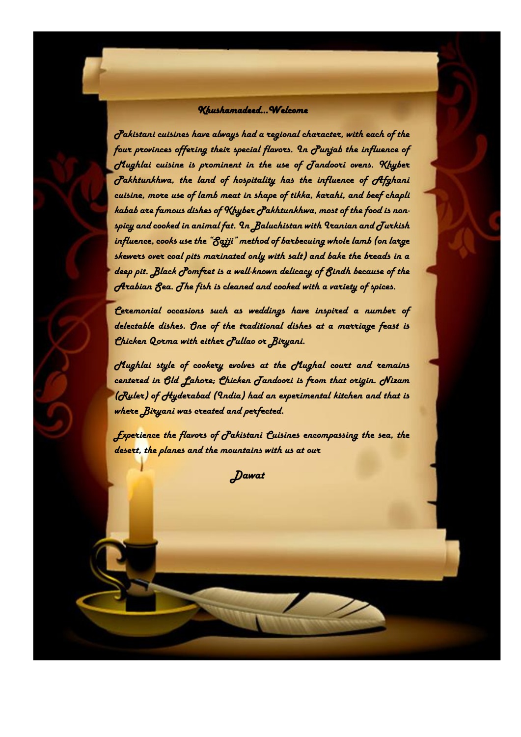#### *Khushamadeed…Welcome*

*p* 

*Pakistani cuisines have always had a regional character, with each of the four provinces offering their special flavors. In Punjab the influence of Mughlai cuisine is prominent in the use of Tandoori ovens. Khyber Pakhtunkhwa, the land of hospitality has the influence of Afghani cuisine, more use of lamb meat in shape of tikka, karahi, and beef chapli kabab are famous dishes of Khyber Pakhtunkhwa, most of the food is nonspicy and cooked in animal fat. In Baluchistan with Iranian and Turkish influence, cooks use the "Sajji" method of barbecuing whole lamb (on large skewers over coal pits marinated only with salt) and bake the breads in a deep pit. Black Pomfret is a well-known delicacy of Sindh because of the Arabian Sea. The fish is cleaned and cooked with a variety of spices.* 

*Ceremonial occasions such as weddings have inspired a number of delectable dishes. One of the traditional dishes at a marriage feast is Chicken Qorma with either Pullao or Biryani.*

*Mughlai style of cookery evolves at the Mughal court and remains centered in Old Lahore; Chicken Tandoori is from that origin. Nizam (Ruler) of Hyderabad (India) had an experimental kitchen and that is where Biryani was created and perfected.*

*Experience the flavors of Pakistani Cuisines encompassing the sea, the desert, the planes and the mountains with us at our*

 *Dawat*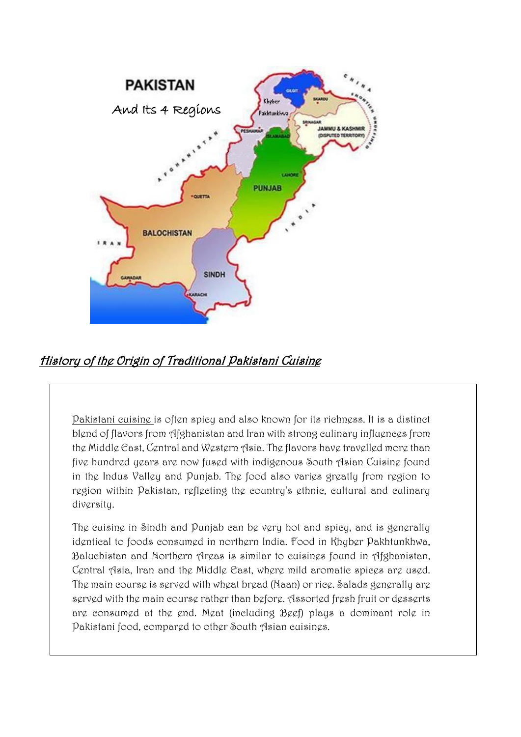

### History of the Origin of Traditional Pakistani Cuisine

[Pakistani](http://www.bookrags.com/Pakistan) cuisine is often spicy and also known for its richness. It is a distinct blend of flavors from [Afghanistan](http://www.bookrags.com/Afghanistan) an[d Iran](http://www.bookrags.com/Iran) with strong culinary influences from the [Middle East,](http://www.bookrags.com/Middle_East) [Central](http://www.bookrags.com/Central_Asian) an[d Western](http://www.bookrags.com/West_Asia) Asia. The flavors have travelled more than five hundred years are now fused with indigenous South Asian Cuisine found in the Indus Valley and Punjab. The food also varies greatly from region to region within Pakistan, reflecting the country's ethnic, cultural and culinary diversity.

The cuisine in [Sindh](http://www.bookrags.com/Sindh) and [Punjab](http://www.bookrags.com/Punjab_%28Pakistan%29) can be very hot and spicy, and is generally identical to foods consumed in northern India. Food in [Khyber](http://www.bookrags.com/North-West_Frontier_Province) Pakhtunkhwa, [Baluchistan](http://www.bookrags.com/Baluchistan) and [Northern Areas](http://www.bookrags.com/Northern_Areas) is similar to cuisines found in [Afghanistan,](http://www.bookrags.com/Afghanistan) [Central Asia,](http://www.bookrags.com/Central_Asia) [Iran](http://www.bookrags.com/Iran) and the [Middle East,](http://www.bookrags.com/Middle_East) where mild aromatic spices are used. The main course is served with wheat bread [\(Naan\)](http://www.bookrags.com/Naan) or rice. Salads generally are served with the main course rather than before. Assorted fresh fruit or desserts are consumed at the end. [Meat](http://www.bookrags.com/Meat) (including [Beef\)](http://www.bookrags.com/Beef) plays a dominant role in Pakistani food, compared to other [South Asian](http://www.bookrags.com/South_Asian) cuisines.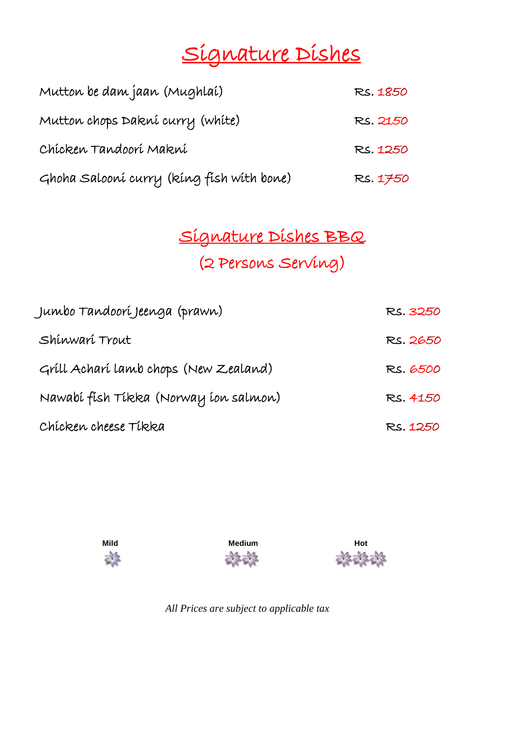# Signature Dishes

| Mutton be dam jaan (Mughlai)              | RS. 1850 |
|-------------------------------------------|----------|
| Mutton chops Dakní curry (white)          | RS. 2150 |
| Chícken Tandoorí Makní                    | RS. 1250 |
| Ghoha Salooní curry (kíng físh wíth bone) | RS. 1750 |

## Signature Dishes BBQ

(2 Persons Serving)

| Jumbo Tandoorí Jeenga (prawn)         | RS. 3250 |
|---------------------------------------|----------|
| Shinwari Trout                        | RS. 2650 |
| Gríll Acharí lamb chops (New Zealand) | RS. 6500 |
| Nawabí físh Tíkka (Norway íon salmon) | RS. 4150 |
| Chícken cheese Tíkka                  | RS. 1250 |







*All Prices are subject to applicable tax*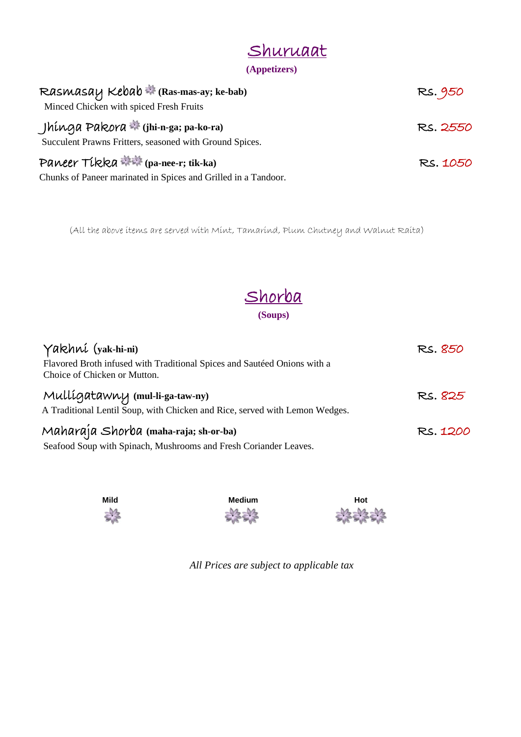| Shuruaat     |  |
|--------------|--|
| (Appetizers) |  |

| Rasmasay Kebab * (Ras-mas-ay; ke-bab)<br>Minced Chicken with spiced Fresh Fruits                | RS. 950  |
|-------------------------------------------------------------------------------------------------|----------|
| Jhínga Pakora * (jhi-n-ga; pa-ko-ra)<br>Succulent Prawns Fritters, seasoned with Ground Spices. | RS. 2550 |
| Paneer Tikka <b>**</b> (pa-nee-r; tik-ka)                                                       | RS. 1050 |
| Chunks of Paneer marinated in Spices and Grilled in a Tandoor.                                  |          |

(All the above items are served with Mint, Tamarind, Plum Chutney and Walnut Raita)



| Yakhní (yak-hi-ni)                                                                                       | RS. 850  |
|----------------------------------------------------------------------------------------------------------|----------|
| Flavored Broth infused with Traditional Spices and Sautéed Onions with a<br>Choice of Chicken or Mutton. |          |
| Mulligatawny (mul-li-ga-taw-ny)                                                                          | RS. 825  |
| A Traditional Lentil Soup, with Chicken and Rice, served with Lemon Wedges.                              |          |
| Maharaja Shorba (maha-raja; sh-or-ba)                                                                    | RS. 1200 |
| Seafood Soup with Spinach, Mushrooms and Fresh Coriander Leaves.                                         |          |







*All Prices are subject to applicable tax*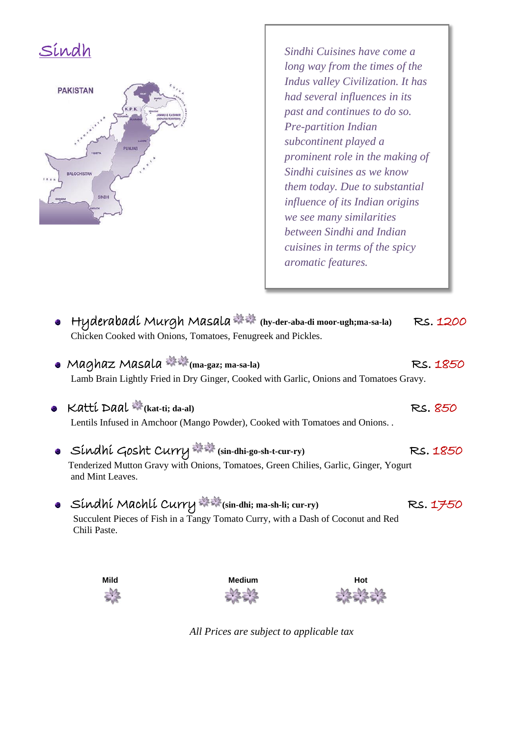



*Sindhi Cuisines have come a long way from the times of the Indus valley Civilization. It has had several influences in its past and continues to do so. Pre-partition Indian subcontinent played a prominent role in the making of Sindhi cuisines as we know them today. Due to substantial influence of its Indian origins we see many similarities between Sindhi and Indian cuisines in terms of the spicy aromatic features.*

- Hyderabadi Murgh Masala **(hy-der-aba-di moor-ugh;ma-sa-la)** Rs. 1200 Chicken Cooked with Onions, Tomatoes, Fenugreek and Pickles.
- Maghaz Masala ※※ (ma-gaz; ma-sa-la) RS. 1850 Lamb Brain Lightly Fried in Dry Ginger, Cooked with Garlic, Onions and Tomatoes Gravy.
- **•** Katti Daal \* (kat-ti; da-al) **1998** RS. 850 Lentils Infused in Amchoor (Mango Powder), Cooked with Tomatoes and Onions. .
- Sindhi Gosht Curry **(sin-dhi-go-sh-t-cur-ry)** Rs. 1850 Tenderized Mutton Gravy with Onions, Tomatoes, Green Chilies, Garlic, Ginger, Yogurt and Mint Leaves.
- Sindhi Machli Curry **(sin-dhi; ma-sh-li; cur-ry)** Rs. 1750 Succulent Pieces of Fish in a Tangy Tomato Curry, with a Dash of Coconut and Red Chili Paste.



*All Prices are subject to applicable tax*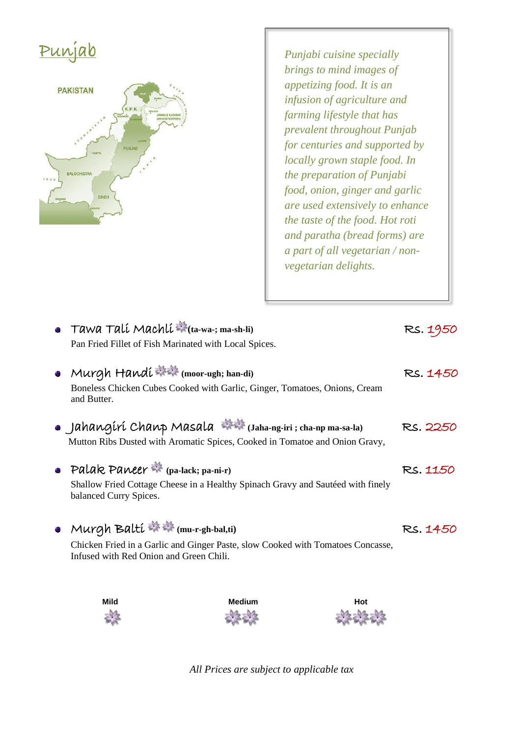# Punjab



*Punjabi cuisine specially brings to mind images of appetizing food. It is an infusion of agriculture and farming lifestyle that has prevalent throughout Punjab for centuries and supported by locally grown staple food. In the preparation of Punjabi food, onion, ginger and garlic are used extensively to enhance the taste of the food. Hot roti and paratha (bread forms) are a part of all vegetarian / nonvegetarian delights.*

| • Tawa Tali Machli $\frac{m}{m}$ (ta-wa-; ma-sh-li)                                                                        | RS. 1950 |
|----------------------------------------------------------------------------------------------------------------------------|----------|
| Pan Fried Fillet of Fish Marinated with Local Spices.                                                                      |          |
| • Murgh Handi $\Rightarrow$ (moor-ugh; han-di)                                                                             | RS. 1450 |
| Boneless Chicken Cubes Cooked with Garlic, Ginger, Tomatoes, Onions, Cream<br>and Butter.                                  |          |
| • Jahangiri Chanp Masala (Jaha-ng-iri; cha-np ma-sa-la)                                                                    | RS. 2250 |
| Mutton Ribs Dusted with Aromatic Spices, Cooked in Tomatoe and Onion Gravy,                                                |          |
| • Palak Paneer $\frac{1}{2}$ (pa-lack; pa-ni-r)                                                                            | RS. 1150 |
| Shallow Fried Cottage Cheese in a Healthy Spinach Gravy and Sautéed with finely<br>balanced Curry Spices.                  |          |
| • Murgh Balti $\Rightarrow$ (mu-r-gh-bal,ti)                                                                               | RS. 1450 |
| Chicken Fried in a Garlic and Ginger Paste, slow Cooked with Tomatoes Concasse,<br>Infused with Red Onion and Green Chili. |          |
|                                                                                                                            |          |







*All Prices are subject to applicable tax*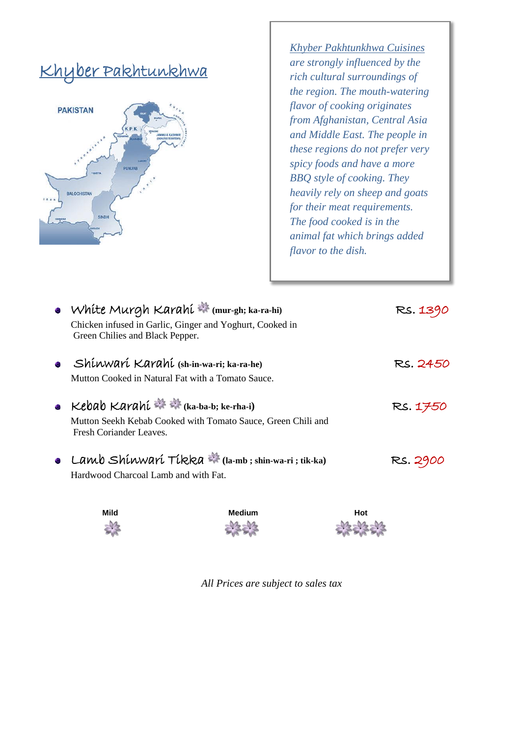## Khyber Pakhtunkhwa



*Khyber Pakhtunkhwa Cuisines are strongly influenced by the rich cultural surroundings of the region. The mouth-watering flavor of cooking originates from Afghanistan, Central Asia and Middle East. The people in these regions do not prefer very spicy foods and have a more BBQ style of cooking. They heavily rely on sheep and goats for their meat requirements. The food cooked is in the animal fat which brings added flavor to the dish.*

| • White Murgh Karahi * (mur-gh; ka-ra-hi)<br>Chicken infused in Garlic, Ginger and Yoghurt, Cooked in<br>Green Chilies and Black Pepper.    | RS. 1390 |
|---------------------------------------------------------------------------------------------------------------------------------------------|----------|
| Shinwari Karahi (sh-in-wa-ri; ka-ra-he)<br>Mutton Cooked in Natural Fat with a Tomato Sauce.                                                | RS. 2450 |
| • Kebab Karahi $\Rightarrow$ (ka-ba-b; ke-rha-i)<br>Mutton Seekh Kebab Cooked with Tomato Sauce, Green Chili and<br>Fresh Coriander Leaves. | RS. 1750 |
| • Lamb Shinwari Tikka $\ast$ (la-mb; shin-wa-ri; tik-ka)<br>Hardwood Charcoal Lamb and with Fat.                                            | RS. 2900 |





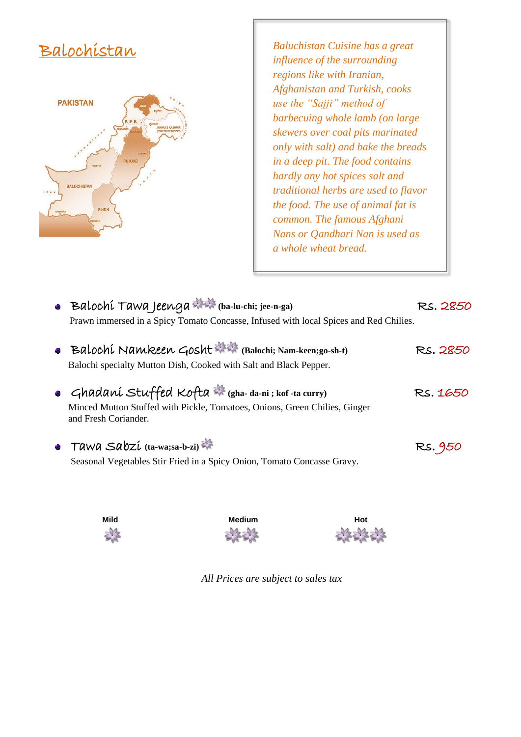### Balochistan



*Baluchistan Cuisine has a great influence of the surrounding regions like with Iranian, Afghanistan and Turkish, cooks use the "Sajji" method of barbecuing whole lamb (on large skewers over coal pits marinated only with salt) and bake the breads in a deep pit. The food contains hardly any hot spices salt and traditional herbs are used to flavor the food. The use of animal fat is common. The famous Afghani Nans or Qandhari Nan is used as a whole wheat bread.*

| • Balochi Tawa Jeenga $\mathbb{R}$ (ba-lu-chi; jee-n-ga)<br>Prawn immersed in a Spicy Tomato Concasse, Infused with local Spices and Red Chilies.         | RS. 2850 |
|-----------------------------------------------------------------------------------------------------------------------------------------------------------|----------|
| • Balochi Namkeen Gosht *** (Balochi; Nam-keen; go-sh-t)<br>Balochi specialty Mutton Dish, Cooked with Salt and Black Pepper.                             | RS. 2850 |
| • Ghadaní Stuffed Kofta * (gha-da-ni; kof-ta curry)<br>Minced Mutton Stuffed with Pickle, Tomatoes, Onions, Green Chilies, Ginger<br>and Fresh Coriander. | RS. 1650 |
| • Tawa Sabzi $(ta-wa;sa-b-zi)$<br>Seasonal Vegetables Stir Fried in a Spicy Onion, Tomato Concasse Gravy.                                                 | RS. 950  |





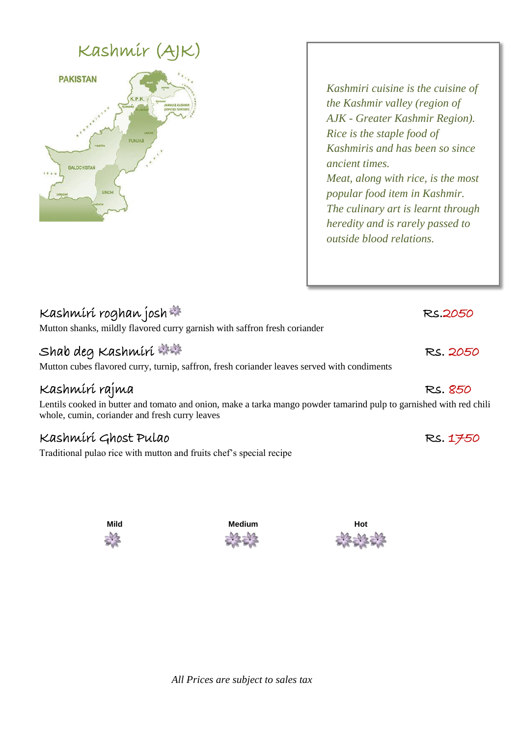## Kashmir (AJK)



*Kashmiri cuisine is the cuisine of the Kashmir valley (region of AJK - Greater Kashmir Region). Rice is the staple food of Kashmiris and has been so since ancient times. Meat, along with rice, is the most popular food item in Kashmir. The culinary art is learnt through heredity and is rarely passed to outside blood relations.*

| Kashmiri roghan josh<br>Mutton shanks, mildly flavored curry garnish with saffron fresh coriander                    | RS.2050  |
|----------------------------------------------------------------------------------------------------------------------|----------|
| Shab deg Kashmiri ***<br>Mutton cubes flavored curry, turnip, saffron, fresh coriander leaves served with condiments | RS. 2050 |
| Kashmírí rajma                                                                                                       | RS. 850  |

Lentils cooked in butter and tomato and onion, make a tarka mango powder tamarind pulp to garnished with red chili whole, cumin, coriander and fresh curry leaves

### Kashmiri Ghost Pulao RS. 1750

Traditional pulao rice with mutton and fruits chef's special recipe

| Mild                                   | <b>Medium</b> | Hot                                       |
|----------------------------------------|---------------|-------------------------------------------|
| 24<br><b>STATISTICS</b><br><b>SUIT</b> | 骆绵            | 23<br>DA<br>$\sim$ ura<br><b>PERSONAL</b> |

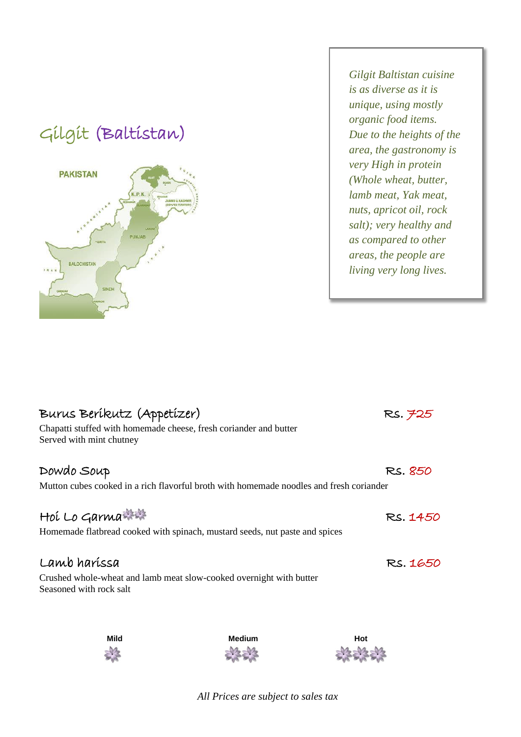## Gilgit (Baltistan)



→

*Gilgit Baltistan cuisine is as diverse as it is unique, using mostly organic food items. Due to the heights of the area, the gastronomy is very High in protein (Whole wheat, butter, lamb meat, Yak meat, nuts, apricot oil, rock salt); very healthy and as compared to other areas, the people are living very long lives.*

| Burus Beríkutz (Appetízer)                                                                     | RS. 725  |
|------------------------------------------------------------------------------------------------|----------|
| Chapatti stuffed with homemade cheese, fresh coriander and butter<br>Served with mint chutney  |          |
| Dowdo Soup                                                                                     | RS. 850  |
| Mutton cubes cooked in a rich flavorful broth with homemade noodles and fresh coriander        |          |
| Hoi Lo Garma                                                                                   | RS. 1450 |
| Homemade flatbread cooked with spinach, mustard seeds, nut paste and spices                    |          |
| Lamb haríssa                                                                                   | RS. 1650 |
| Crushed whole-wheat and lamb meat slow-cooked overnight with butter<br>Seasoned with rock salt |          |
|                                                                                                |          |

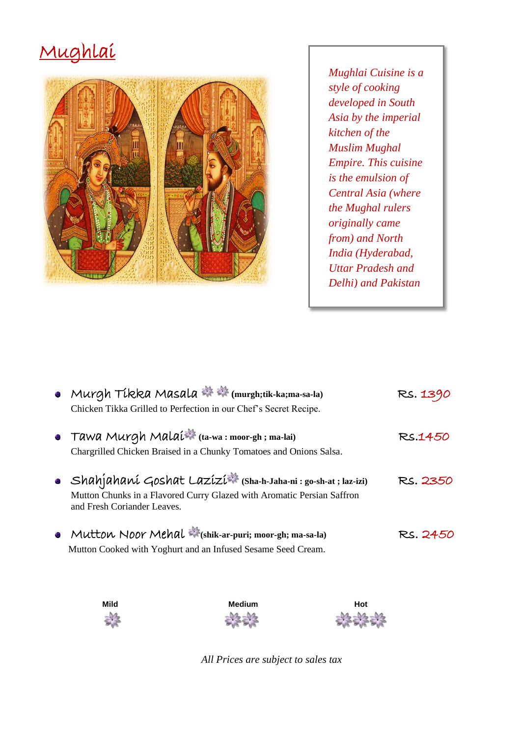## Mughlai



*Mughlai Cuisine is a style of cooking developed in South Asia by the imperial kitchen of the Muslim Mughal Empire. This cuisine is the emulsion of Central Asia (where the Mughal rulers originally came from) and North India (Hyderabad, Uttar Pradesh and Delhi) and Pakistan* 

| • Murgh Tikka Masala ※ ※ (murgh;tik-ka;ma-sa-la)<br>Chicken Tikka Grilled to Perfection in our Chef's Secret Recipe.                                                   | RS. 1390 |
|------------------------------------------------------------------------------------------------------------------------------------------------------------------------|----------|
| • Tawa Murgh Malai <sup>2</sup> (ta-wa: moor-gh; ma-lai)<br>Chargrilled Chicken Braised in a Chunky Tomatoes and Onions Salsa.                                         | RS.1450  |
| • Shahjahani Goshat Lazizi (Sha-h-Jaha-ni: go-sh-at; laz-izi)<br>Mutton Chunks in a Flavored Curry Glazed with Aromatic Persian Saffron<br>and Fresh Coriander Leaves. | RS. 2350 |
| • Mutton Noor Mehal * (shik-ar-puri; moor-gh; ma-sa-la)<br>Mutton Cooked with Yoghurt and an Infused Sesame Seed Cream.                                                | RS. 2450 |







*All Prices are subject to sales tax*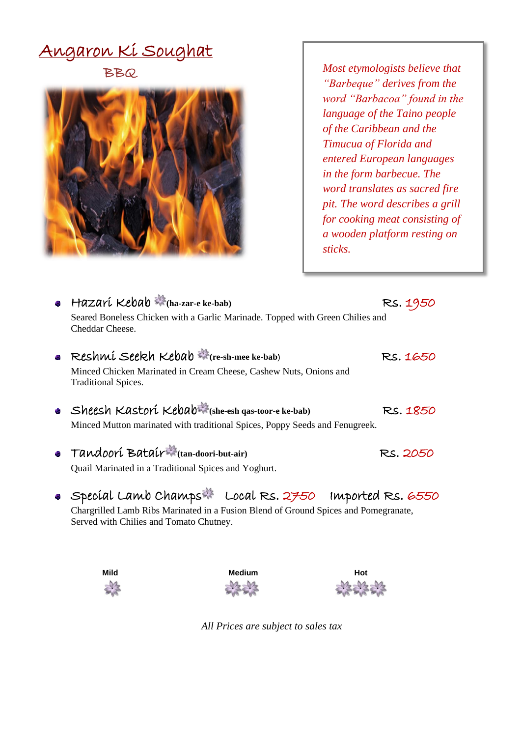# Angaron Ki Soughat

BBQ



*Most etymologists believe that "Barbeque" derives from the word "Barbacoa" found in the language of the Taino people of the Caribbean and the Timucua of Florida and entered European languages in the form barbecue. The word translates as sacred fire pit. The word describes a grill for cooking meat consisting of a wooden platform resting on sticks.*

| $\bullet$ Hazarí Kebab $\bullet$ (ha-zar-e ke-bab)                                                                             | RS. 1950 |  |
|--------------------------------------------------------------------------------------------------------------------------------|----------|--|
| Seared Boneless Chicken with a Garlic Marinade. Topped with Green Chilies and<br>Cheddar Cheese.                               |          |  |
| Reshmi Seekh Kebab * (re-sh-mee ke-bab)                                                                                        | RS. 1650 |  |
| Minced Chicken Marinated in Cream Cheese, Cashew Nuts, Onions and<br><b>Traditional Spices.</b>                                |          |  |
| • Sheesh Kastori Kebab (she-esh gas-toor-e ke-bab)                                                                             | RS. 1850 |  |
| Minced Mutton marinated with traditional Spices, Poppy Seeds and Fenugreek.                                                    |          |  |
| • Tandoori Batair (tan-doori-but-air)                                                                                          | RS. 2050 |  |
| Quail Marinated in a Traditional Spices and Yoghurt.                                                                           |          |  |
| • Special Lamb Champs Local Rs. 2750 Imported Rs. 6550                                                                         |          |  |
| Chargrilled Lamb Ribs Marinated in a Fusion Blend of Ground Spices and Pomegranate,<br>Served with Chilies and Tomato Chutney. |          |  |



*All Prices are subject to sales tax*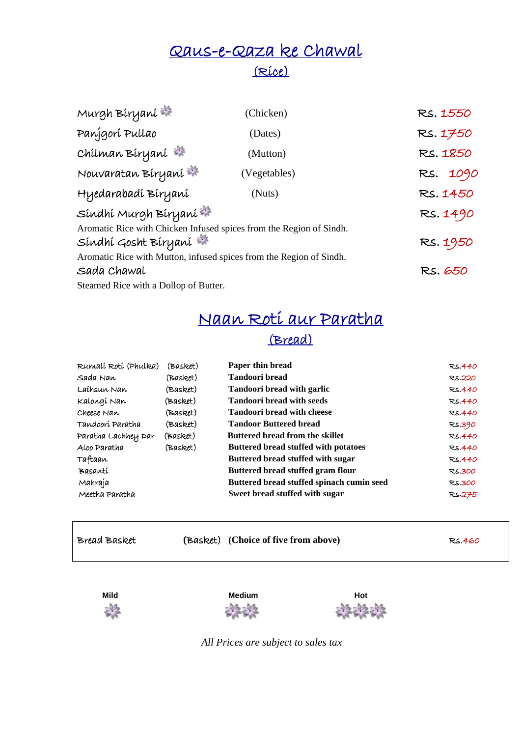### Qaus-e-Qaza ke Chawal (Rice)

| Murgh Biryani                                                                               | (Chicken)    | RS. 1550 |
|---------------------------------------------------------------------------------------------|--------------|----------|
| Panjgorí Pullao                                                                             | (Dates)      | Rs. 1750 |
| Chilman Biryani                                                                             | (Mutton)     | RS. 1850 |
| Nouvaratan Biryani                                                                          | (Vegetables) | RS. 1090 |
| Hyedarabadí Bíryaní                                                                         | (Nuts)       | RS. 1450 |
| Síndhí Murgh Bíryaní                                                                        |              | RS. 1490 |
| Aromatic Rice with Chicken Infused spices from the Region of Sindh.<br>Síndhí Gosht Bíryaní |              | RS. 1950 |
| Aromatic Rice with Mutton, infused spices from the Region of Sindh.                         |              |          |
| Sada Chawal                                                                                 |              | RS. 650  |
| Steamed Rice with a Dollop of Butter.                                                       |              |          |

### Naan Roti aur Paratha (Bread)

| Rumalí Rotí (Phulka) | (Basket) | Paper thin bread                            | RS.440        |
|----------------------|----------|---------------------------------------------|---------------|
| Sada Nan             | (Basket) | <b>Tandoori bread</b>                       | RS.220        |
| Laihsun Nan          | (Basket) | <b>Tandoori bread with garlic</b>           | RS.440        |
| Kalongí Nan          | (Basket) | <b>Tandoori bread with seeds</b>            | <b>RS.440</b> |
| Cheese Nan           | (Basket) | <b>Tandoori bread with cheese</b>           | RS.440        |
| Tandoorí Paratha     | (Basket) | <b>Tandoor Buttered bread</b>               | RS.390        |
| Paratha Lachhey Dar  | (Basket) | <b>Buttered bread from the skillet</b>      | RS.440        |
| Aloo Paratha         | (Basket) | <b>Buttered bread stuffed with potatoes</b> | RS.440        |
| Taftaan              |          | Buttered bread stuffed with sugar           | RS.440        |
| Basantí              |          | Buttered bread stuffed gram flour           | RS.300        |
| Mahraja              |          | Buttered bread stuffed spinach cumin seed   | <b>RS.300</b> |
| Meetha Paratha       |          | Sweet bread stuffed with sugar              | RS.275        |

Bread Basket **(Basket) (Choice of five from above)** Rs.460







*All Prices are subject to sales tax*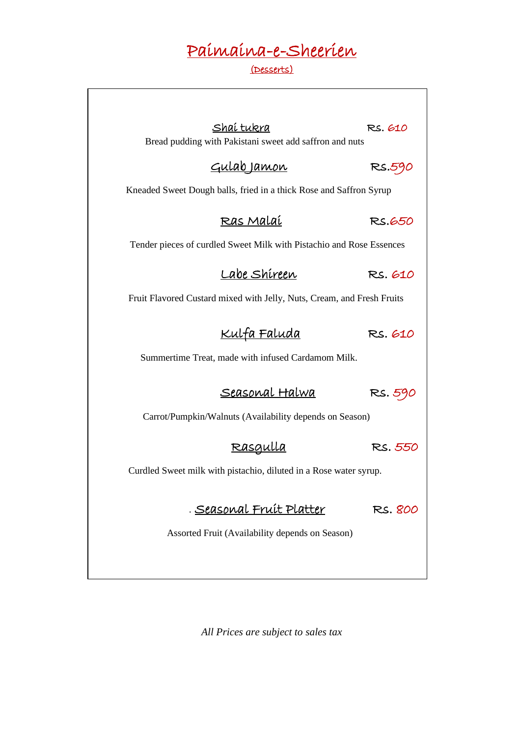## Paimaina-e-Sheerien

#### (Desserts)

| Shaí tukra<br>Bread pudding with Pakistani sweet add saffron and nuts  | RS. 610 |  |  |  |
|------------------------------------------------------------------------|---------|--|--|--|
|                                                                        |         |  |  |  |
| <u>Gulab Jamon</u>                                                     | RS.590  |  |  |  |
| Kneaded Sweet Dough balls, fried in a thick Rose and Saffron Syrup     |         |  |  |  |
| <u>Ras Malaí</u>                                                       | RS.650  |  |  |  |
| Tender pieces of curdled Sweet Milk with Pistachio and Rose Essences   |         |  |  |  |
| Labe Shíreen                                                           | RS. 610 |  |  |  |
| Fruit Flavored Custard mixed with Jelly, Nuts, Cream, and Fresh Fruits |         |  |  |  |
| <u>Kulfa Faluda</u>                                                    | RS. 610 |  |  |  |
| Summertime Treat, made with infused Cardamom Milk.                     |         |  |  |  |
| <u>Seasonal Halwa</u>                                                  | RS. 590 |  |  |  |
| Carrot/Pumpkin/Walnuts (Availability depends on Season)                |         |  |  |  |
| <u>Rasgulla</u>                                                        | RS. 550 |  |  |  |
| Curdled Sweet milk with pistachio, diluted in a Rose water syrup.      |         |  |  |  |
|                                                                        |         |  |  |  |
| <u>Seasonal Fruit</u> Platter                                          | RS. 800 |  |  |  |
| Assorted Fruit (Availability depends on Season)                        |         |  |  |  |
|                                                                        |         |  |  |  |
|                                                                        |         |  |  |  |